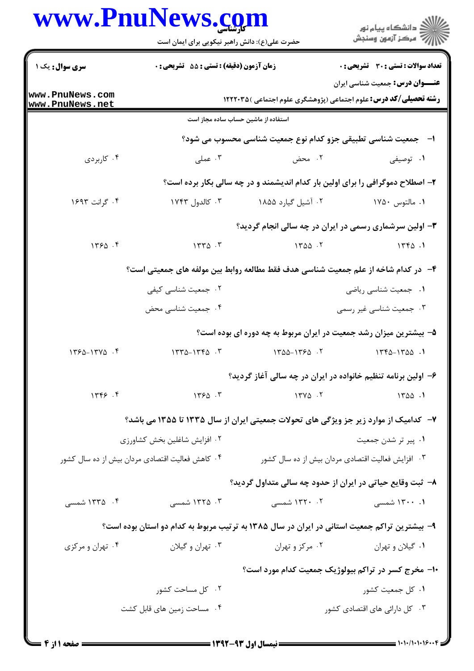| WWW.FNUINews. <u>co</u> in                      | حضرت علی(ع): دانش راهبر نیکویی برای ایمان است                 |                    | ≦ دانشگاه پیام نو <b>ر</b><br>7' مرڪز آزمون وسنڊش                                                                          |  |  |
|-------------------------------------------------|---------------------------------------------------------------|--------------------|----------------------------------------------------------------------------------------------------------------------------|--|--|
| <b>سری سوال :</b> یک ۱                          | <b>زمان آزمون (دقیقه) : تستی : 55 تشریحی : 0</b>              |                    | تعداد سوالات : تستي : 30 ٪ تشريحي : 0                                                                                      |  |  |
| www.PnuNews.com<br>www.PnuNews.net              |                                                               |                    | <b>عنـــوان درس:</b> جمعیت شناسی ایران<br><b>رشته تحصیلی/کد درس:</b> علوم اجتماعی (پژوهشگری علوم اجتماعی )۱۲۲۲۰۳۵ <b>(</b> |  |  |
|                                                 | استفاده از ماشین حساب ساده مجاز است                           |                    |                                                                                                                            |  |  |
|                                                 | ا–۔ جمعیت شناسی تطبیقی جزو کدام نوع جمعیت شناسی محسوب می شود؟ |                    |                                                                                                                            |  |  |
| ۰۴ کاربردی                                      | ۰۳ عملی                                                       | ۰۲ محض             | ۰۱ توصیفی                                                                                                                  |  |  |
|                                                 |                                                               |                    | ۲- اصطلاح دموگرافی را برای اولین بار کدام اندیشمند و در چه سالی بکار برده است؟                                             |  |  |
| ۰۴ گرانت ۱۶۹۳                                   | ۰۳ کالدول ۱۷۴۳                                                | ۰۲ آشیل گیارد ۱۸۵۵ | ۰۱ مالتوس ۱۷۵۰                                                                                                             |  |  |
|                                                 |                                                               |                    | ۳- اولین سرشماری رسمی در ایران در چه سالی انجام گردید؟                                                                     |  |  |
| 1550.5                                          | 1770.7                                                        | 1400.7             | 1790.1                                                                                                                     |  |  |
|                                                 |                                                               |                    | ۴- در کدام شاخه از علم جمعیت شناسی هدف فقط مطالعه روابط بین مولفه های جمعیتی است؟                                          |  |  |
|                                                 | ۰۲ جمعیت شناسی کیفی                                           |                    | ٠١ جمعيت شناسي رياضي                                                                                                       |  |  |
|                                                 | ۰۴ جمعیت شناسی محض                                            |                    | ۰۳ جمعیت شناسی غیر رسمی                                                                                                    |  |  |
|                                                 |                                                               |                    | ۵– بیشترین میزان رشد جمعیت در ایران مربوط به چه دوره ای بوده است؟                                                          |  |  |
| $1750 - 1770$ .                                 | $1550 - 1550 - 5$                                             | $1400 - 1750 - 1$  | $1440 - 1700$ .                                                                                                            |  |  |
|                                                 |                                                               |                    | ۶– اولین برنامه تنظیم خانواده در ایران در چه سالی آغاز گردید؟                                                              |  |  |
| 1799.9                                          | $1550 - 5$                                                    | $17Y\Delta$ .      | 1400.1                                                                                                                     |  |  |
|                                                 |                                                               |                    | ۷– کدامیک از موارد زیر جز ویژگی های تحولات جمعیتی ایران از سال ۱۳۳۵ تا ۱۳۵۵ می باشد؟                                       |  |  |
| ۰۲ افزایش شاغلین بخش کشاورزی                    |                                                               |                    | ۰۱ پیر تر شدن جمعیت                                                                                                        |  |  |
| ۰۴ کاهش فعالیت اقتصادی مردان بیش از ده سال کشور |                                                               |                    | ۰۳ افزایش فعالیت اقتصادی مردان بیش از ده سال کشور                                                                          |  |  |
|                                                 |                                                               |                    | ۸– ثبت وقایع حیاتی در ایران از حدود چه سالی متداول گردید؟                                                                  |  |  |
| ۰۴ ۱۳۳۵ شمسی                                    | ۰۳ ۱۳۲۵ شمسی                                                  | ۰۲ . ۱۳۲۰ شمسی     | ۰۱ ۱۳۰۰ شمسی                                                                                                               |  |  |
|                                                 |                                                               |                    | ۹- بیشترین تراکم جمعیت استانی در ایران در سال ۱۳۸۵ به ترتیب مربوط به کدام دو استان بوده است؟                               |  |  |
| ۰۴ تهران و مرکزی                                | ۰۳ تهران و گیلان                                              | ۰۲ مرکز و تهران    | ۰۱ گیلان و تهران                                                                                                           |  |  |
|                                                 |                                                               |                    | ۱۰- مخرج کسر در تراکم بیولوژیک جمعیت کدام مورد است؟                                                                        |  |  |
|                                                 | ۰۲ کل مساحت کشور                                              |                    | ۰۱ کل جمعیت کشور                                                                                                           |  |  |
|                                                 | ۰۴ مساحت زمین های قابل کشت                                    |                    | ۰۳ کل دارائی های اقتصادی کشور                                                                                              |  |  |

**TY** 

৲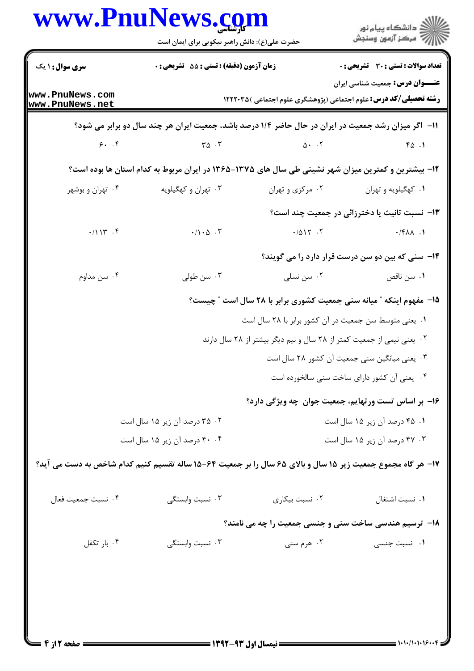|                                                                                                     | حضرت علی(ع): دانش راهبر نیکویی برای ایمان است                                                               |                                                                         | ڪ دانشڪاه پيا <sub>م</sub> نور<br>ر <i>7</i> مرڪز آزمون وسنڊش |  |  |
|-----------------------------------------------------------------------------------------------------|-------------------------------------------------------------------------------------------------------------|-------------------------------------------------------------------------|---------------------------------------------------------------|--|--|
| <b>سری سوال : ۱ یک</b>                                                                              | زمان آزمون (دقیقه) : تستی : 55 گشریحی : 0                                                                   |                                                                         | <b>تعداد سوالات : تستی : 30 ٪ تشریحی : 0</b>                  |  |  |
| www.PnuNews.com<br>www.PnuNews.net                                                                  |                                                                                                             | <b>رشته تحصیلی/کد درس:</b> علوم اجتماعی (پژوهشگری علوم اجتماعی )۱۲۲۲۰۳۵ | <b>عنـــوان درس:</b> جمعیت شناسی ایران                        |  |  |
|                                                                                                     | 11- اگر میزان رشد جمعیت در ایران در حال حاضر ۱/۴ درصد باشد، جمعیت ایران هر چند سال دو برابر می شود؟         |                                                                         |                                                               |  |  |
|                                                                                                     | $5.7$ $70.7$                                                                                                | $\Delta$ . T                                                            | FA.1                                                          |  |  |
| ۱۲- بیشترین و کمترین میزان شهر نشینی طی سال های ۱۳۷۵-۱۳۶۵ در ایران مربوط به کدام استان ها بوده است؟ |                                                                                                             |                                                                         |                                                               |  |  |
| ۰۴ تهران و بوشهر                                                                                    | ۰۳ تهران و کهگیلویه                                                                                         | ۰۲ مرکزی و تهران                                                        | ۰۱ کهگیلویه و تهران                                           |  |  |
|                                                                                                     |                                                                                                             |                                                                         | ۱۳– نسبت تانیث یا دخترزائی در جمعیت چند است؟                  |  |  |
| .7114.7                                                                                             | $\cdot / \cdot \Delta$ .                                                                                    | $-(\Delta)Y \cdot Y$                                                    | $\cdot$ /۴۸۸.                                                 |  |  |
|                                                                                                     |                                                                                                             |                                                                         | <b>۱۴</b> - سنی که بین دو سن درست قرار دارد را می گویند؟      |  |  |
| ۰۴ سن مداوم                                                                                         | ۰۳ سن طولی                                                                                                  | ۰۲ سن نسلی                                                              | ۰۱ سن ناقص                                                    |  |  |
|                                                                                                     |                                                                                                             | 15- مفهوم اینکه " میانه سنی جمعیت کشوری برابر با ۲۸ سال است " چیست؟     |                                                               |  |  |
|                                                                                                     | ۰۱ یعنی متوسط سن جمعیت در آن کشور برابر با ۲۸ سال است                                                       |                                                                         |                                                               |  |  |
|                                                                                                     | ۰۲ یعنی نیمی از جمعیت کمتر از ۲۸ سال و نیم دیگر بیشتر از ۲۸ سال دارند                                       |                                                                         |                                                               |  |  |
|                                                                                                     | ٠٣ يعني ميانگين سني جمعيت آن كشور ٢٨ سال است                                                                |                                                                         |                                                               |  |  |
|                                                                                                     |                                                                                                             |                                                                         | ۰۴ یعنی آن کشور دارای ساخت سنی سالخورده است                   |  |  |
|                                                                                                     |                                                                                                             | ۱۶– بر اساس تست ورتهایم، جمعیت جوان چه ویژگی دارد؟                      |                                                               |  |  |
| ۰۲ ـ ۳۵ درصد آن زیر ۱۵ سال است                                                                      |                                                                                                             | ۰۱ ۴۵ درصد آن زیر ۱۵ سال است                                            |                                                               |  |  |
|                                                                                                     | ۴۰ ۴۰ درصد آن زیر ۱۵ سال است                                                                                |                                                                         | ۰۳ ×۴ درصد آن زیر ۱۵ سال است                                  |  |  |
|                                                                                                     | ۱۷- هر گاه مجموع جمعیت زیر ۱۵ سال و بالای ۶۵ سال را بر جمعیت ۶۴-۱۵ ساله تقسیم کنیم کدام شاخص به دست می آید؟ |                                                                         |                                                               |  |  |
| ۰۴ نسبت جمعيت فعال                                                                                  | ۰۳ نسبت وابستگی                                                                                             | ۰۲ نسبت بیکاری                                                          | ٠١ نسبت اشتغال                                                |  |  |
|                                                                                                     |                                                                                                             | <b>۱۸</b> - ترسیم هندسی ساخت سنی و جنسی جمعیت را چه می نامند؟           |                                                               |  |  |
| ۰۴ بار تکفل                                                                                         | ۰۳ نسبت وابستگی                                                                                             | ۰۲ هرم سنی                                                              | ۰۱ نسبت جنسی                                                  |  |  |
|                                                                                                     |                                                                                                             |                                                                         |                                                               |  |  |
|                                                                                                     |                                                                                                             |                                                                         |                                                               |  |  |
|                                                                                                     |                                                                                                             |                                                                         |                                                               |  |  |
|                                                                                                     |                                                                                                             |                                                                         |                                                               |  |  |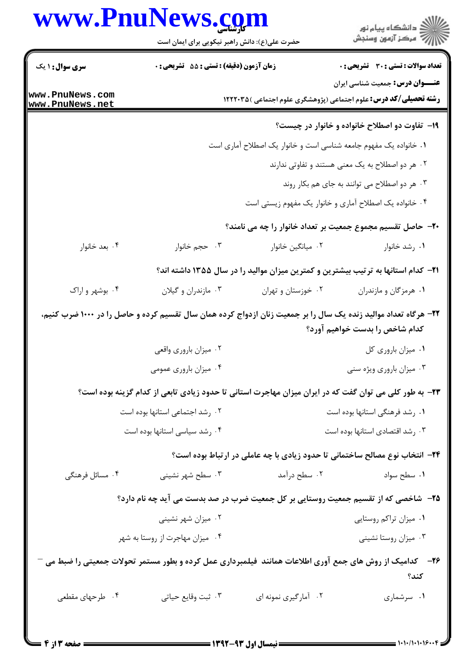## www.PnuNews.com

|                                  | www.PnuNews.com<br>حضرت علی(ع): دانش راهبر نیکویی برای ایمان است |                                                        | ڪ دانشڪاه پيام نور<br>پ <sup>ر</sup> مرڪز آزمون وسنڊش                                                                                             |  |
|----------------------------------|------------------------------------------------------------------|--------------------------------------------------------|---------------------------------------------------------------------------------------------------------------------------------------------------|--|
| <b>سری سوال : ۱ یک</b>           | <b>زمان آزمون (دقیقه) : تستی : 55 تشریحی : 0</b>                 |                                                        | <b>تعداد سوالات : تستی : 30 ٪ تشریحی : 0</b>                                                                                                      |  |
| ww.PnuNews.com<br>ww.PnuNews.net |                                                                  |                                                        | <b>عنـــوان درس:</b> جمعیت شناسی ایران<br><b>رشته تحصیلی/کد درس:</b> علوم اجتماعی (پژوهشگری علوم اجتماعی )۱۲۲۲۰۳۵                                 |  |
|                                  |                                                                  |                                                        | ۱۹- تفاوت دو اصطلاح خانواده و خانوار در چیست؟                                                                                                     |  |
|                                  | ۰۱ خانواده یک مفهوم جامعه شناسی است و خانوار یک اصطلاح آماری است |                                                        |                                                                                                                                                   |  |
|                                  |                                                                  | ۰۲ هر دو اصطلاح به یک معنی هستند و تفاوتی ندارند       |                                                                                                                                                   |  |
|                                  | ۰۳ هر دو اصطلاح می توانند به جای هم بکار روند                    |                                                        |                                                                                                                                                   |  |
|                                  |                                                                  | ۰۴ خانواده یک اصطلاح آماری و خانوار یک مفهوم زیستی است |                                                                                                                                                   |  |
|                                  |                                                                  |                                                        | ۲۰– حاصل تقسیم مجموع جمعیت بر تعداد خانوار را چه می نامند؟                                                                                        |  |
| ۰۴ بعد خانوار                    | ۰۳ حجم خانوار                                                    | ٠٢ ميانگين خانوار                                      | ۰۱ رشد خانوار                                                                                                                                     |  |
|                                  |                                                                  |                                                        | ۲۱– کدام استانها به ترتیب بیشترین و کمترین میزان موالید را در سال ۱۳۵۵ داشته اند؟                                                                 |  |
| ۰۴ بوشهر و اراک                  | ۰۳ مازندران و گیلان                                              | ۰۲ خوزستان و تهران                                     | ۰۱ هرمزگان و مازندران                                                                                                                             |  |
|                                  |                                                                  |                                                        | ۲۲– هرگاه تعداد موالید زنده یک سال را بر جمعیت زنان ازدواج کرده همان سال تقسیم کرده و حاصل را در ۱۰۰۰ ضرب کنیم،<br>کدام شاخص را بدست خواهیم آورد؟ |  |
|                                  | ۰۲ میزان باروری واقعی                                            |                                                        | ٠١ ميزان باروري كل                                                                                                                                |  |
|                                  | ۰۴ میزان باروری عمومی                                            | ۰۳ میزان باروری ویژه سنی                               |                                                                                                                                                   |  |
|                                  |                                                                  |                                                        | ۲۳- به طور کلی می توان گفت که در ایران میزان مهاجرت استانی تا حدود زیادی تابعی از کدام گزینه بوده است؟                                            |  |
| ٠٢ رشد اجتماعي استانها بوده است  |                                                                  | ۰۱ رشد فرهنگی استانها بوده است                         |                                                                                                                                                   |  |
| ۰۴ رشد سیاسی استانها بوده است    |                                                                  | ۰۳ رشد اقتصادی استانها بوده است                        |                                                                                                                                                   |  |
|                                  |                                                                  |                                                        | ۲۴- انتخاب نوع مصالح ساختمانی تا حدود زیادی با چه عاملی در ارتباط بوده است؟                                                                       |  |
| ۰۴ مسائل فرهنگی                  | ۰۳ سطح شهر نشینی                                                 | ۰۲ سطح درآمد                                           | ۰۱ سطح سواد                                                                                                                                       |  |
|                                  |                                                                  |                                                        | ۲۵– شاخصی که از تقسیم جمعیت روستایی بر کل جمعیت ضرب در صد بدست می آید چه نام دارد؟                                                                |  |
|                                  | ۰۲ میزان شهر نشینی                                               |                                                        | ٠١ ميزان تراكم روستايي                                                                                                                            |  |
|                                  | ۰۴ میزان مهاجرت از روستا به شهر                                  |                                                        | ۰۳ میزان روستا نشینی                                                                                                                              |  |
|                                  |                                                                  |                                                        | ۲۶–۔ کدامیک از روش های جمع آوری اطلاعات همانند ًفیلمبرداری عمل کرده و بطور مستمر تحولات جمعیتی را ضبط می –<br>كند؟                                |  |
| ۰۴ طرحهای مقطعی                  | ۰۳ ثبت وقايع حياتي                                               | ۰۲ آمارگیری نمونه ای                                   | ۰۱ سرشماری                                                                                                                                        |  |